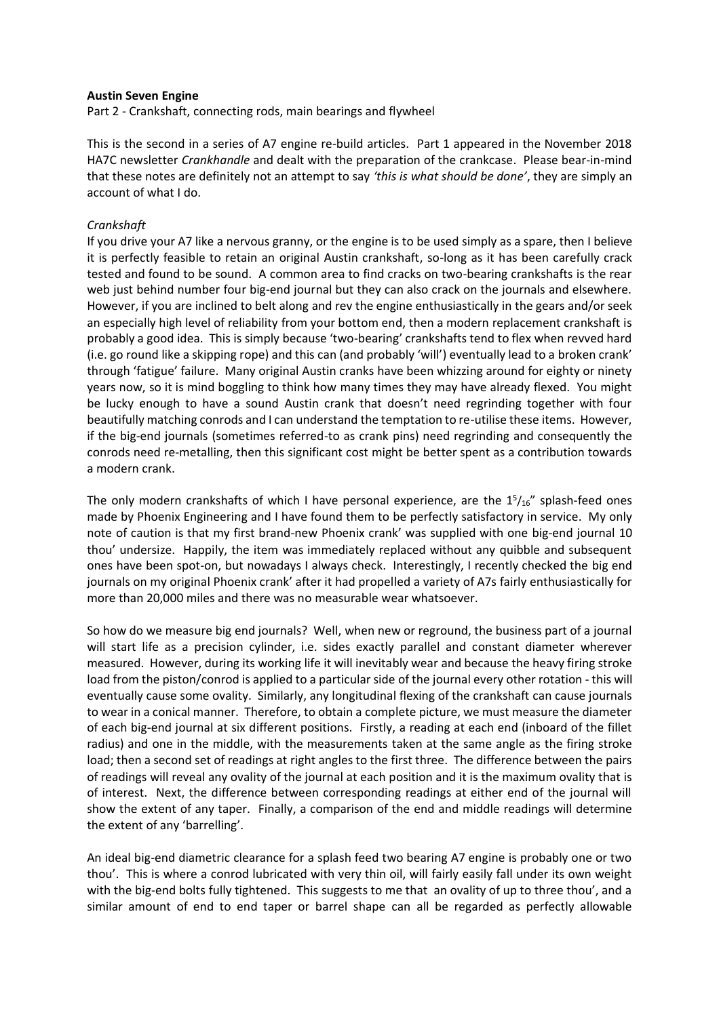### **Austin Seven Engine**

Part 2 - Crankshaft, connecting rods, main bearings and flywheel

This is the second in a series of A7 engine re-build articles. Part 1 appeared in the November 2018 HA7C newsletter *Crankhandle* and dealt with the preparation of the crankcase. Please bear-in-mind that these notes are definitely not an attempt to say *'this is what should be done'*, they are simply an account of what I do.

# *Crankshaft*

If you drive your A7 like a nervous granny, or the engine is to be used simply as a spare, then I believe it is perfectly feasible to retain an original Austin crankshaft, so-long as it has been carefully crack tested and found to be sound. A common area to find cracks on two-bearing crankshafts is the rear web just behind number four big-end journal but they can also crack on the journals and elsewhere. However, if you are inclined to belt along and rev the engine enthusiastically in the gears and/or seek an especially high level of reliability from your bottom end, then a modern replacement crankshaft is probably a good idea. This is simply because 'two-bearing' crankshafts tend to flex when revved hard (i.e. go round like a skipping rope) and this can (and probably 'will') eventually lead to a broken crank' through 'fatigue' failure. Many original Austin cranks have been whizzing around for eighty or ninety years now, so it is mind boggling to think how many times they may have already flexed. You might be lucky enough to have a sound Austin crank that doesn't need regrinding together with four beautifully matching conrods and I can understand the temptation to re-utilise these items. However, if the big-end journals (sometimes referred-to as crank pins) need regrinding and consequently the conrods need re-metalling, then this significant cost might be better spent as a contribution towards a modern crank.

The only modern crankshafts of which I have personal experience, are the  $15/16''$  splash-feed ones made by Phoenix Engineering and I have found them to be perfectly satisfactory in service. My only note of caution is that my first brand-new Phoenix crank' was supplied with one big-end journal 10 thou' undersize. Happily, the item was immediately replaced without any quibble and subsequent ones have been spot-on, but nowadays I always check. Interestingly, I recently checked the big end journals on my original Phoenix crank' after it had propelled a variety of A7s fairly enthusiastically for more than 20,000 miles and there was no measurable wear whatsoever.

So how do we measure big end journals? Well, when new or reground, the business part of a journal will start life as a precision cylinder, i.e. sides exactly parallel and constant diameter wherever measured. However, during its working life it will inevitably wear and because the heavy firing stroke load from the piston/conrod is applied to a particular side of the journal every other rotation - this will eventually cause some ovality. Similarly, any longitudinal flexing of the crankshaft can cause journals to wear in a conical manner. Therefore, to obtain a complete picture, we must measure the diameter of each big-end journal at six different positions. Firstly, a reading at each end (inboard of the fillet radius) and one in the middle, with the measurements taken at the same angle as the firing stroke load; then a second set of readings at right angles to the first three. The difference between the pairs of readings will reveal any ovality of the journal at each position and it is the maximum ovality that is of interest. Next, the difference between corresponding readings at either end of the journal will show the extent of any taper. Finally, a comparison of the end and middle readings will determine the extent of any 'barrelling'.

An ideal big-end diametric clearance for a splash feed two bearing A7 engine is probably one or two thou'. This is where a conrod lubricated with very thin oil, will fairly easily fall under its own weight with the big-end bolts fully tightened. This suggests to me that an ovality of up to three thou', and a similar amount of end to end taper or barrel shape can all be regarded as perfectly allowable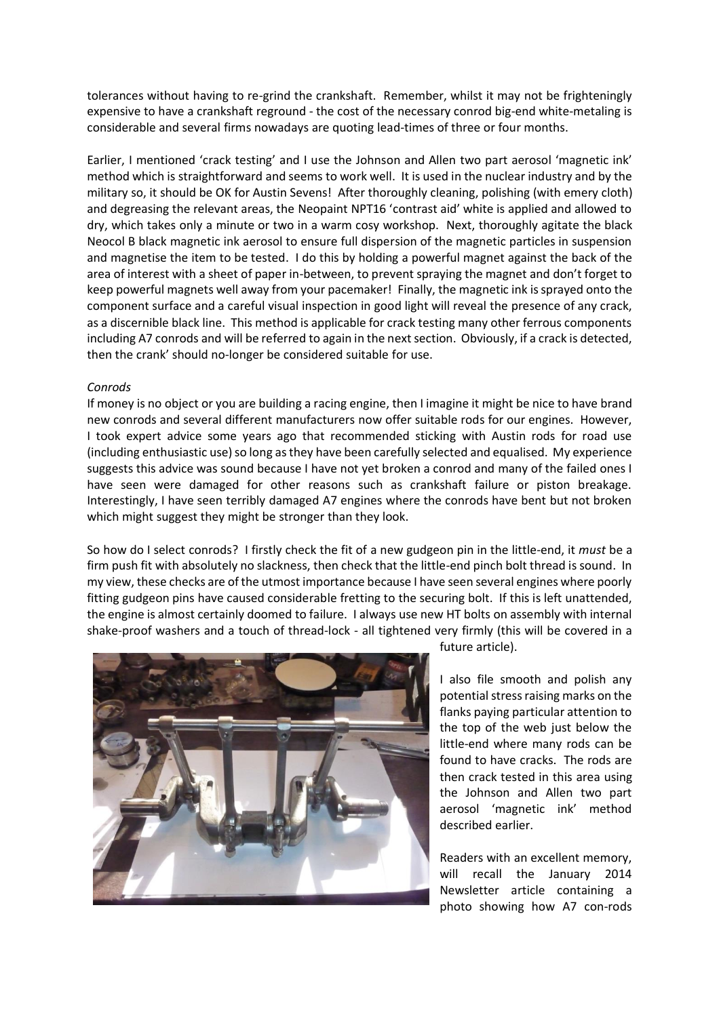tolerances without having to re-grind the crankshaft. Remember, whilst it may not be frighteningly expensive to have a crankshaft reground - the cost of the necessary conrod big-end white-metaling is considerable and several firms nowadays are quoting lead-times of three or four months.

Earlier, I mentioned 'crack testing' and I use the Johnson and Allen two part aerosol 'magnetic ink' method which is straightforward and seems to work well. It is used in the nuclear industry and by the military so, it should be OK for Austin Sevens! After thoroughly cleaning, polishing (with emery cloth) and degreasing the relevant areas, the Neopaint NPT16 'contrast aid' white is applied and allowed to dry, which takes only a minute or two in a warm cosy workshop. Next, thoroughly agitate the black Neocol B black magnetic ink aerosol to ensure full dispersion of the magnetic particles in suspension and magnetise the item to be tested. I do this by holding a powerful magnet against the back of the area of interest with a sheet of paper in-between, to prevent spraying the magnet and don't forget to keep powerful magnets well away from your pacemaker! Finally, the magnetic ink is sprayed onto the component surface and a careful visual inspection in good light will reveal the presence of any crack, as a discernible black line. This method is applicable for crack testing many other ferrous components including A7 conrods and will be referred to again in the next section. Obviously, if a crack is detected, then the crank' should no-longer be considered suitable for use.

#### *Conrods*

If money is no object or you are building a racing engine, then I imagine it might be nice to have brand new conrods and several different manufacturers now offer suitable rods for our engines. However, I took expert advice some years ago that recommended sticking with Austin rods for road use (including enthusiastic use) so long as they have been carefully selected and equalised. My experience suggests this advice was sound because I have not yet broken a conrod and many of the failed ones I have seen were damaged for other reasons such as crankshaft failure or piston breakage. Interestingly, I have seen terribly damaged A7 engines where the conrods have bent but not broken which might suggest they might be stronger than they look.

So how do I select conrods? I firstly check the fit of a new gudgeon pin in the little-end, it *must* be a firm push fit with absolutely no slackness, then check that the little-end pinch bolt thread is sound. In my view, these checks are of the utmost importance because I have seen several engines where poorly fitting gudgeon pins have caused considerable fretting to the securing bolt. If this is left unattended, the engine is almost certainly doomed to failure. I always use new HT bolts on assembly with internal shake-proof washers and a touch of thread-lock - all tightened very firmly (this will be covered in a



future article).

I also file smooth and polish any potential stress raising marks on the flanks paying particular attention to the top of the web just below the little-end where many rods can be found to have cracks. The rods are then crack tested in this area using the Johnson and Allen two part aerosol 'magnetic ink' method described earlier.

Readers with an excellent memory, will recall the January 2014 Newsletter article containing a photo showing how A7 con-rods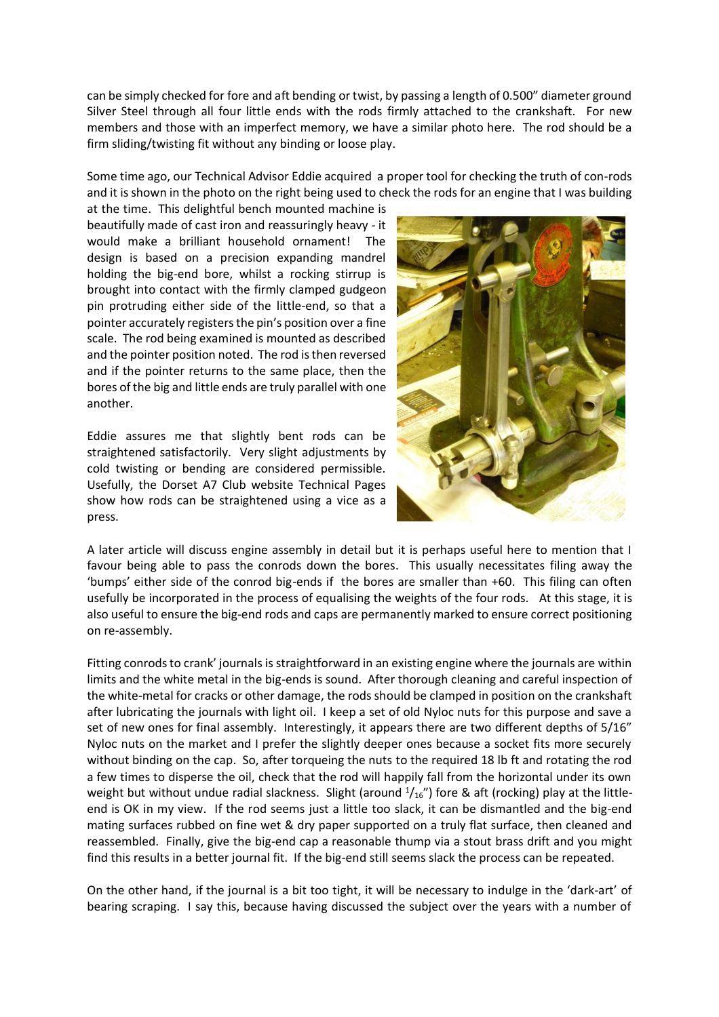can be simply checked for fore and aft bending or twist, by passing a length of 0.500" diameter ground Silver Steel through all four little ends with the rods firmly attached to the crankshaft. For new members and those with an imperfect memory, we have a similar photo here. The rod should be a firm sliding/twisting fit without any binding or loose play.

Some time ago, our Technical Advisor Eddie acquired a proper tool for checking the truth of con-rods and it is shown in the photo on the right being used to check the rods for an engine that I was building

at the time. This delightful bench mounted machine is beautifully made of cast iron and reassuringly heavy - it would make a brilliant household ornament! The design is based on a precision expanding mandrel holding the big-end bore, whilst a rocking stirrup is brought into contact with the firmly clamped gudgeon pin protruding either side of the little-end, so that a pointer accurately registers the pin's position over a fine scale. The rod being examined is mounted as described and the pointer position noted. The rod is then reversed and if the pointer returns to the same place, then the bores of the big and little ends are truly parallel with one another.

Eddie assures me that slightly bent rods can be straightened satisfactorily. Very slight adjustments by cold twisting or bending are considered permissible. Usefully, the Dorset A7 Club website Technical Pages show how rods can be straightened using a vice as a press.



A later article will discuss engine assembly in detail but it is perhaps useful here to mention that I favour being able to pass the conrods down the bores. This usually necessitates filing away the 'bumps' either side of the conrod big-ends if the bores are smaller than +60. This filing can often usefully be incorporated in the process of equalising the weights of the four rods. At this stage, it is also useful to ensure the big-end rods and caps are permanently marked to ensure correct positioning on re-assembly.

Fitting conrods to crank' journals is straightforward in an existing engine where the journals are within limits and the white metal in the big-ends is sound. After thorough cleaning and careful inspection of the white-metal for cracks or other damage, the rods should be clamped in position on the crankshaft after lubricating the journals with light oil. I keep a set of old Nyloc nuts for this purpose and save a set of new ones for final assembly. Interestingly, it appears there are two different depths of 5/16" Nyloc nuts on the market and I prefer the slightly deeper ones because a socket fits more securely without binding on the cap. So, after torqueing the nuts to the required 18 lb ft and rotating the rod a few times to disperse the oil, check that the rod will happily fall from the horizontal under its own weight but without undue radial slackness. Slight (around  $1/_{16}$ ") fore & aft (rocking) play at the littleend is OK in my view. If the rod seems just a little too slack, it can be dismantled and the big-end mating surfaces rubbed on fine wet & dry paper supported on a truly flat surface, then cleaned and reassembled. Finally, give the big-end cap a reasonable thump via a stout brass drift and you might find this results in a better journal fit. If the big-end still seems slack the process can be repeated.

On the other hand, if the journal is a bit too tight, it will be necessary to indulge in the 'dark-art' of bearing scraping. I say this, because having discussed the subject over the years with a number of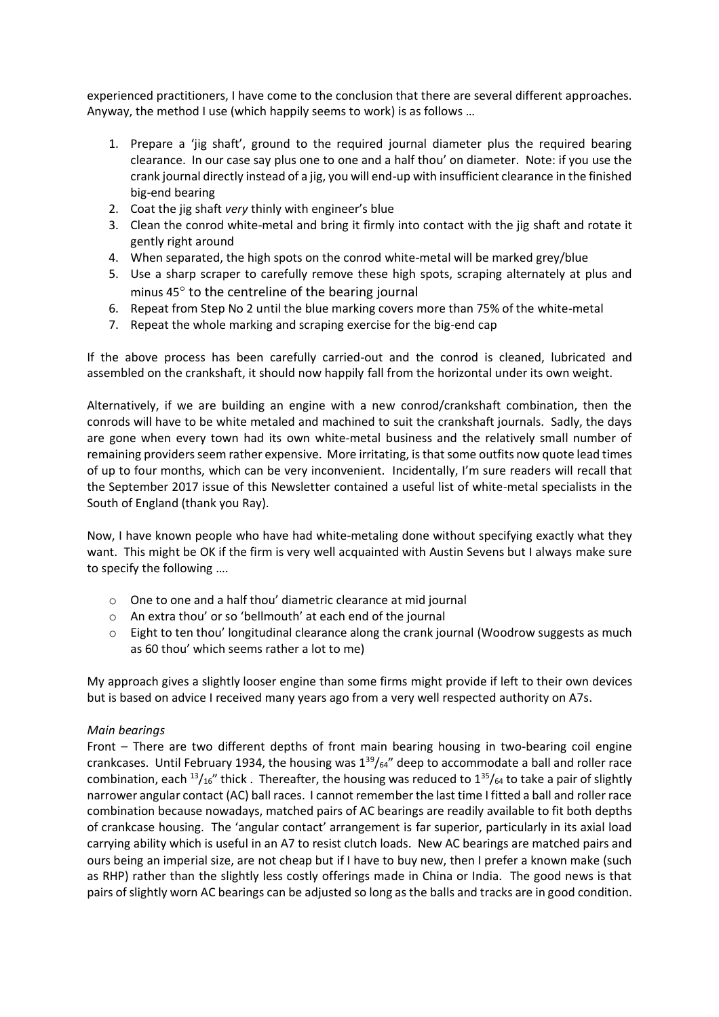experienced practitioners, I have come to the conclusion that there are several different approaches. Anyway, the method I use (which happily seems to work) is as follows …

- 1. Prepare a 'jig shaft', ground to the required journal diameter plus the required bearing clearance. In our case say plus one to one and a half thou' on diameter. Note: if you use the crank journal directly instead of a jig, you will end-up with insufficient clearance in the finished big-end bearing
- 2. Coat the jig shaft *very* thinly with engineer's blue
- 3. Clean the conrod white-metal and bring it firmly into contact with the jig shaft and rotate it gently right around
- 4. When separated, the high spots on the conrod white-metal will be marked grey/blue
- 5. Use a sharp scraper to carefully remove these high spots, scraping alternately at plus and minus  $45^\circ$  to the centreline of the bearing journal
- 6. Repeat from Step No 2 until the blue marking covers more than 75% of the white-metal
- 7. Repeat the whole marking and scraping exercise for the big-end cap

If the above process has been carefully carried-out and the conrod is cleaned, lubricated and assembled on the crankshaft, it should now happily fall from the horizontal under its own weight.

Alternatively, if we are building an engine with a new conrod/crankshaft combination, then the conrods will have to be white metaled and machined to suit the crankshaft journals. Sadly, the days are gone when every town had its own white-metal business and the relatively small number of remaining providers seem rather expensive. More irritating, is that some outfits now quote lead times of up to four months, which can be very inconvenient. Incidentally, I'm sure readers will recall that the September 2017 issue of this Newsletter contained a useful list of white-metal specialists in the South of England (thank you Ray).

Now, I have known people who have had white-metaling done without specifying exactly what they want. This might be OK if the firm is very well acquainted with Austin Sevens but I always make sure to specify the following ….

- o One to one and a half thou' diametric clearance at mid journal
- o An extra thou' or so 'bellmouth' at each end of the journal
- $\circ$  Eight to ten thou' longitudinal clearance along the crank journal (Woodrow suggests as much as 60 thou' which seems rather a lot to me)

My approach gives a slightly looser engine than some firms might provide if left to their own devices but is based on advice I received many years ago from a very well respected authority on A7s.

## *Main bearings*

Front – There are two different depths of front main bearing housing in two-bearing coil engine crankcases. Until February 1934, the housing was  $1^{39}$ <sub>64</sub>" deep to accommodate a ball and roller race combination, each <sup>13</sup>/<sub>16</sub>" thick . Thereafter, the housing was reduced to  $1^{35}/_{64}$  to take a pair of slightly narrower angular contact (AC) ball races. I cannot remember the last time I fitted a ball and roller race combination because nowadays, matched pairs of AC bearings are readily available to fit both depths of crankcase housing. The 'angular contact' arrangement is far superior, particularly in its axial load carrying ability which is useful in an A7 to resist clutch loads. New AC bearings are matched pairs and ours being an imperial size, are not cheap but if I have to buy new, then I prefer a known make (such as RHP) rather than the slightly less costly offerings made in China or India. The good news is that pairs of slightly worn AC bearings can be adjusted so long as the balls and tracks are in good condition.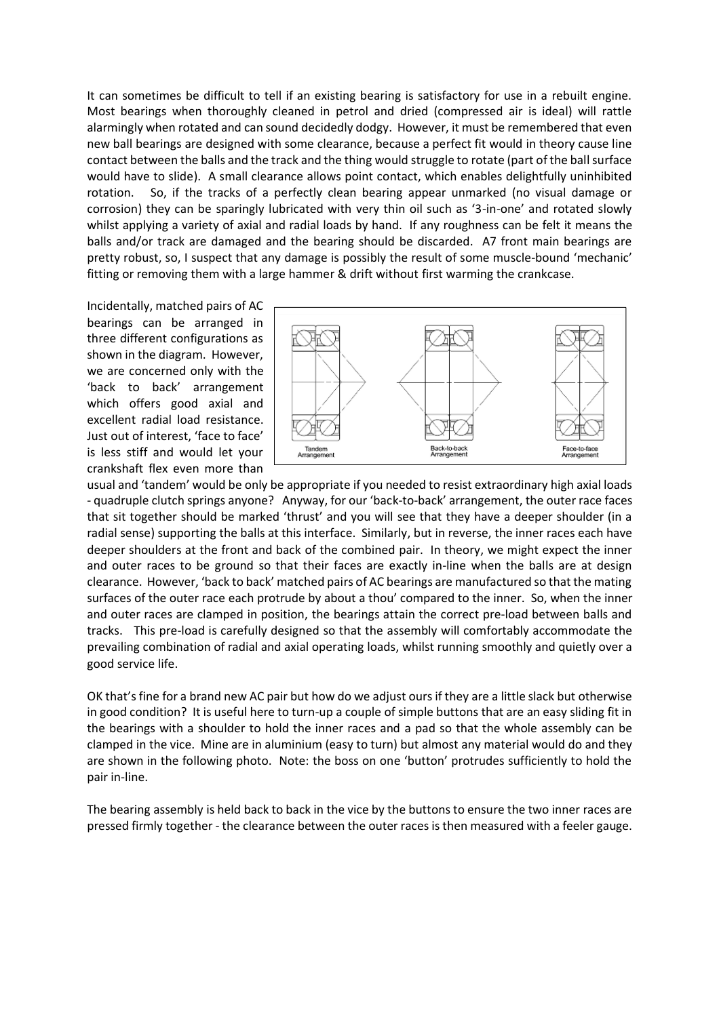It can sometimes be difficult to tell if an existing bearing is satisfactory for use in a rebuilt engine. Most bearings when thoroughly cleaned in petrol and dried (compressed air is ideal) will rattle alarmingly when rotated and can sound decidedly dodgy. However, it must be remembered that even new ball bearings are designed with some clearance, because a perfect fit would in theory cause line contact between the balls and the track and the thing would struggle to rotate (part of the ball surface would have to slide). A small clearance allows point contact, which enables delightfully uninhibited rotation. So, if the tracks of a perfectly clean bearing appear unmarked (no visual damage or corrosion) they can be sparingly lubricated with very thin oil such as '3-in-one' and rotated slowly whilst applying a variety of axial and radial loads by hand. If any roughness can be felt it means the balls and/or track are damaged and the bearing should be discarded. A7 front main bearings are pretty robust, so, I suspect that any damage is possibly the result of some muscle-bound 'mechanic' fitting or removing them with a large hammer & drift without first warming the crankcase.

Incidentally, matched pairs of AC bearings can be arranged in three different configurations as shown in the diagram. However, we are concerned only with the 'back to back' arrangement which offers good axial and excellent radial load resistance. Just out of interest, 'face to face' is less stiff and would let your crankshaft flex even more than



usual and 'tandem' would be only be appropriate if you needed to resist extraordinary high axial loads - quadruple clutch springs anyone? Anyway, for our 'back-to-back' arrangement, the outer race faces that sit together should be marked 'thrust' and you will see that they have a deeper shoulder (in a radial sense) supporting the balls at this interface. Similarly, but in reverse, the inner races each have deeper shoulders at the front and back of the combined pair. In theory, we might expect the inner and outer races to be ground so that their faces are exactly in-line when the balls are at design clearance. However, 'back to back' matched pairs of AC bearings are manufactured so that the mating surfaces of the outer race each protrude by about a thou' compared to the inner. So, when the inner and outer races are clamped in position, the bearings attain the correct pre-load between balls and tracks. This pre-load is carefully designed so that the assembly will comfortably accommodate the prevailing combination of radial and axial operating loads, whilst running smoothly and quietly over a good service life.

OK that's fine for a brand new AC pair but how do we adjust ours if they are a little slack but otherwise in good condition? It is useful here to turn-up a couple of simple buttons that are an easy sliding fit in the bearings with a shoulder to hold the inner races and a pad so that the whole assembly can be clamped in the vice. Mine are in aluminium (easy to turn) but almost any material would do and they are shown in the following photo. Note: the boss on one 'button' protrudes sufficiently to hold the pair in-line.

The bearing assembly is held back to back in the vice by the buttons to ensure the two inner races are pressed firmly together - the clearance between the outer races is then measured with a feeler gauge.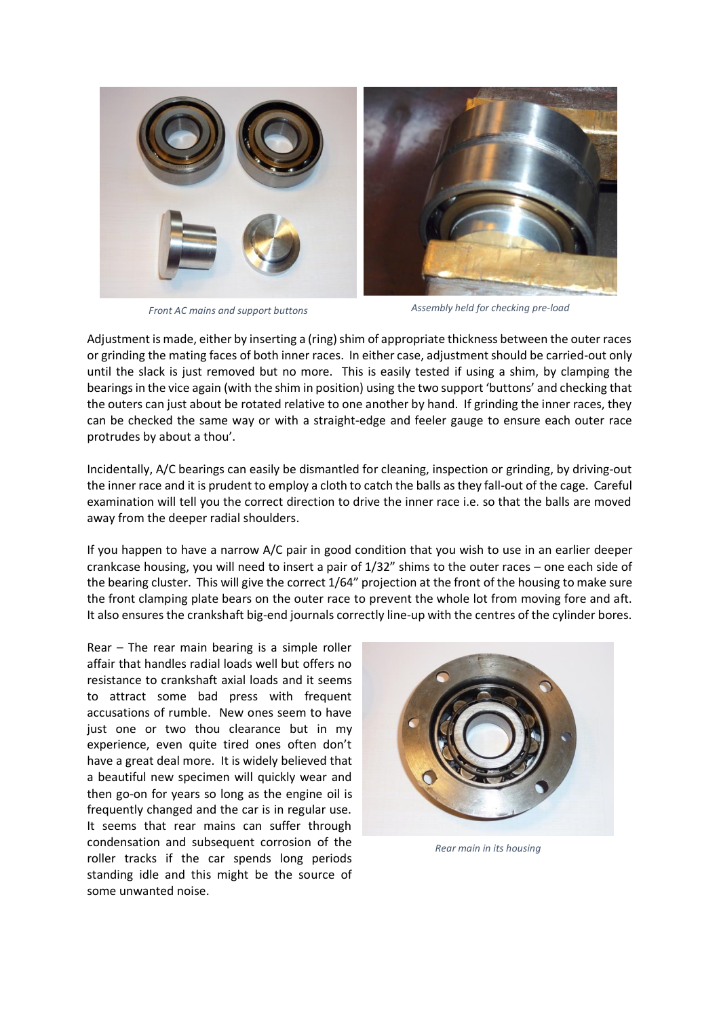

*Front AC mains and support buttons Assembly held for checking pre-load*

Adjustment is made, either by inserting a (ring) shim of appropriate thickness between the outer races or grinding the mating faces of both inner races. In either case, adjustment should be carried-out only until the slack is just removed but no more. This is easily tested if using a shim, by clamping the bearings in the vice again (with the shim in position) using the two support 'buttons' and checking that the outers can just about be rotated relative to one another by hand. If grinding the inner races, they can be checked the same way or with a straight-edge and feeler gauge to ensure each outer race protrudes by about a thou'.

Incidentally, A/C bearings can easily be dismantled for cleaning, inspection or grinding, by driving-out the inner race and it is prudent to employ a cloth to catch the balls as they fall-out of the cage. Careful examination will tell you the correct direction to drive the inner race i.e. so that the balls are moved away from the deeper radial shoulders.

If you happen to have a narrow A/C pair in good condition that you wish to use in an earlier deeper crankcase housing, you will need to insert a pair of 1/32" shims to the outer races – one each side of the bearing cluster. This will give the correct 1/64" projection at the front of the housing to make sure the front clamping plate bears on the outer race to prevent the whole lot from moving fore and aft. It also ensures the crankshaft big-end journals correctly line-up with the centres of the cylinder bores.

Rear – The rear main bearing is a simple roller affair that handles radial loads well but offers no resistance to crankshaft axial loads and it seems to attract some bad press with frequent accusations of rumble. New ones seem to have just one or two thou clearance but in my experience, even quite tired ones often don't have a great deal more. It is widely believed that a beautiful new specimen will quickly wear and then go-on for years so long as the engine oil is frequently changed and the car is in regular use. It seems that rear mains can suffer through condensation and subsequent corrosion of the roller tracks if the car spends long periods standing idle and this might be the source of some unwanted noise.



*Rear main in its housing*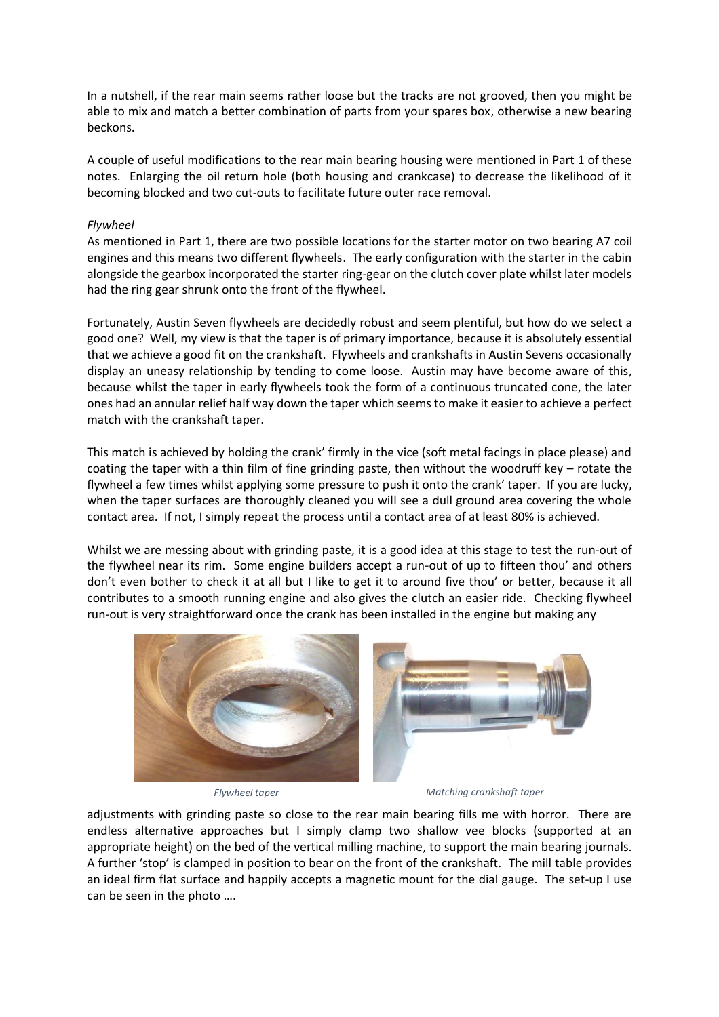In a nutshell, if the rear main seems rather loose but the tracks are not grooved, then you might be able to mix and match a better combination of parts from your spares box, otherwise a new bearing beckons.

A couple of useful modifications to the rear main bearing housing were mentioned in Part 1 of these notes. Enlarging the oil return hole (both housing and crankcase) to decrease the likelihood of it becoming blocked and two cut-outs to facilitate future outer race removal.

### *Flywheel*

As mentioned in Part 1, there are two possible locations for the starter motor on two bearing A7 coil engines and this means two different flywheels. The early configuration with the starter in the cabin alongside the gearbox incorporated the starter ring-gear on the clutch cover plate whilst later models had the ring gear shrunk onto the front of the flywheel.

Fortunately, Austin Seven flywheels are decidedly robust and seem plentiful, but how do we select a good one? Well, my view is that the taper is of primary importance, because it is absolutely essential that we achieve a good fit on the crankshaft. Flywheels and crankshafts in Austin Sevens occasionally display an uneasy relationship by tending to come loose. Austin may have become aware of this, because whilst the taper in early flywheels took the form of a continuous truncated cone, the later ones had an annular relief half way down the taper which seems to make it easier to achieve a perfect match with the crankshaft taper.

This match is achieved by holding the crank' firmly in the vice (soft metal facings in place please) and coating the taper with a thin film of fine grinding paste, then without the woodruff key – rotate the flywheel a few times whilst applying some pressure to push it onto the crank' taper. If you are lucky, when the taper surfaces are thoroughly cleaned you will see a dull ground area covering the whole contact area. If not, I simply repeat the process until a contact area of at least 80% is achieved.

Whilst we are messing about with grinding paste, it is a good idea at this stage to test the run-out of the flywheel near its rim. Some engine builders accept a run-out of up to fifteen thou' and others don't even bother to check it at all but I like to get it to around five thou' or better, because it all contributes to a smooth running engine and also gives the clutch an easier ride. Checking flywheel run-out is very straightforward once the crank has been installed in the engine but making any



*Flywheel taper Matching crankshaft taper*

adjustments with grinding paste so close to the rear main bearing fills me with horror. There are endless alternative approaches but I simply clamp two shallow vee blocks (supported at an appropriate height) on the bed of the vertical milling machine, to support the main bearing journals. A further 'stop' is clamped in position to bear on the front of the crankshaft. The mill table provides an ideal firm flat surface and happily accepts a magnetic mount for the dial gauge. The set-up I use can be seen in the photo ….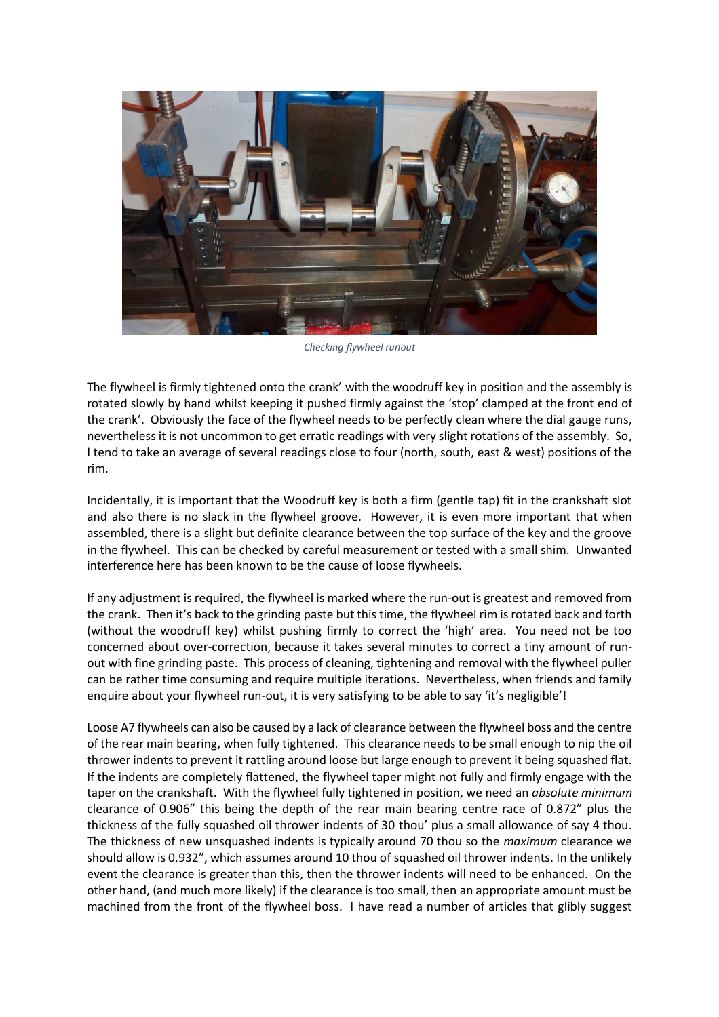

*Checking flywheel runout*

The flywheel is firmly tightened onto the crank' with the woodruff key in position and the assembly is rotated slowly by hand whilst keeping it pushed firmly against the 'stop' clamped at the front end of the crank'. Obviously the face of the flywheel needs to be perfectly clean where the dial gauge runs, nevertheless it is not uncommon to get erratic readings with very slight rotations of the assembly. So, I tend to take an average of several readings close to four (north, south, east & west) positions of the rim.

Incidentally, it is important that the Woodruff key is both a firm (gentle tap) fit in the crankshaft slot and also there is no slack in the flywheel groove. However, it is even more important that when assembled, there is a slight but definite clearance between the top surface of the key and the groove in the flywheel. This can be checked by careful measurement or tested with a small shim. Unwanted interference here has been known to be the cause of loose flywheels.

If any adjustment is required, the flywheel is marked where the run-out is greatest and removed from the crank. Then it's back to the grinding paste but this time, the flywheel rim is rotated back and forth (without the woodruff key) whilst pushing firmly to correct the 'high' area. You need not be too concerned about over-correction, because it takes several minutes to correct a tiny amount of runout with fine grinding paste. This process of cleaning, tightening and removal with the flywheel puller can be rather time consuming and require multiple iterations. Nevertheless, when friends and family enquire about your flywheel run-out, it is very satisfying to be able to say 'it's negligible'!

Loose A7 flywheels can also be caused by a lack of clearance between the flywheel boss and the centre of the rear main bearing, when fully tightened. This clearance needs to be small enough to nip the oil thrower indents to prevent it rattling around loose but large enough to prevent it being squashed flat. If the indents are completely flattened, the flywheel taper might not fully and firmly engage with the taper on the crankshaft. With the flywheel fully tightened in position, we need an *absolute minimum* clearance of 0.906" this being the depth of the rear main bearing centre race of 0.872" plus the thickness of the fully squashed oil thrower indents of 30 thou' plus a small allowance of say 4 thou. The thickness of new unsquashed indents is typically around 70 thou so the *maximum* clearance we should allow is 0.932", which assumes around 10 thou of squashed oil thrower indents. In the unlikely event the clearance is greater than this, then the thrower indents will need to be enhanced. On the other hand, (and much more likely) if the clearance is too small, then an appropriate amount must be machined from the front of the flywheel boss. I have read a number of articles that glibly suggest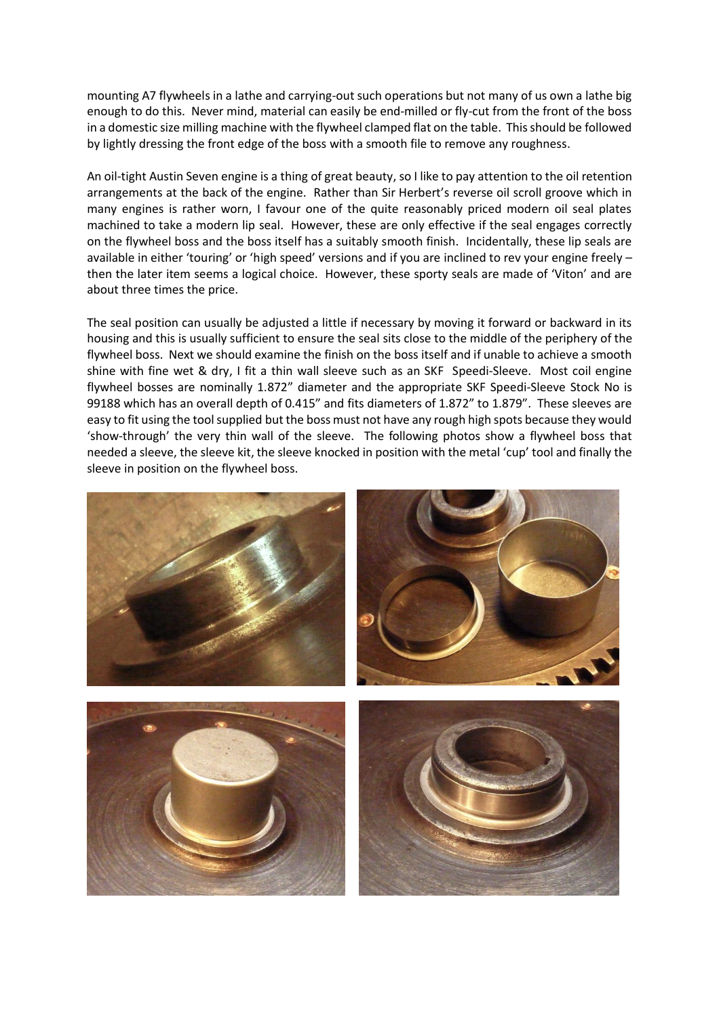mounting A7 flywheels in a lathe and carrying-out such operations but not many of us own a lathe big enough to do this. Never mind, material can easily be end-milled or fly-cut from the front of the boss in a domestic size milling machine with the flywheel clamped flat on the table. This should be followed by lightly dressing the front edge of the boss with a smooth file to remove any roughness.

An oil-tight Austin Seven engine is a thing of great beauty, so I like to pay attention to the oil retention arrangements at the back of the engine. Rather than Sir Herbert's reverse oil scroll groove which in many engines is rather worn, I favour one of the quite reasonably priced modern oil seal plates machined to take a modern lip seal. However, these are only effective if the seal engages correctly on the flywheel boss and the boss itself has a suitably smooth finish. Incidentally, these lip seals are available in either 'touring' or 'high speed' versions and if you are inclined to rev your engine freely – then the later item seems a logical choice. However, these sporty seals are made of 'Viton' and are about three times the price.

The seal position can usually be adjusted a little if necessary by moving it forward or backward in its housing and this is usually sufficient to ensure the seal sits close to the middle of the periphery of the flywheel boss. Next we should examine the finish on the boss itself and if unable to achieve a smooth shine with fine wet & dry, I fit a thin wall sleeve such as an SKF Speedi-Sleeve. Most coil engine flywheel bosses are nominally 1.872" diameter and the appropriate SKF Speedi-Sleeve Stock No is 99188 which has an overall depth of 0.415" and fits diameters of 1.872" to 1.879". These sleeves are easy to fit using the tool supplied but the boss must not have any rough high spots because they would 'show-through' the very thin wall of the sleeve. The following photos show a flywheel boss that needed a sleeve, the sleeve kit, the sleeve knocked in position with the metal 'cup' tool and finally the sleeve in position on the flywheel boss.

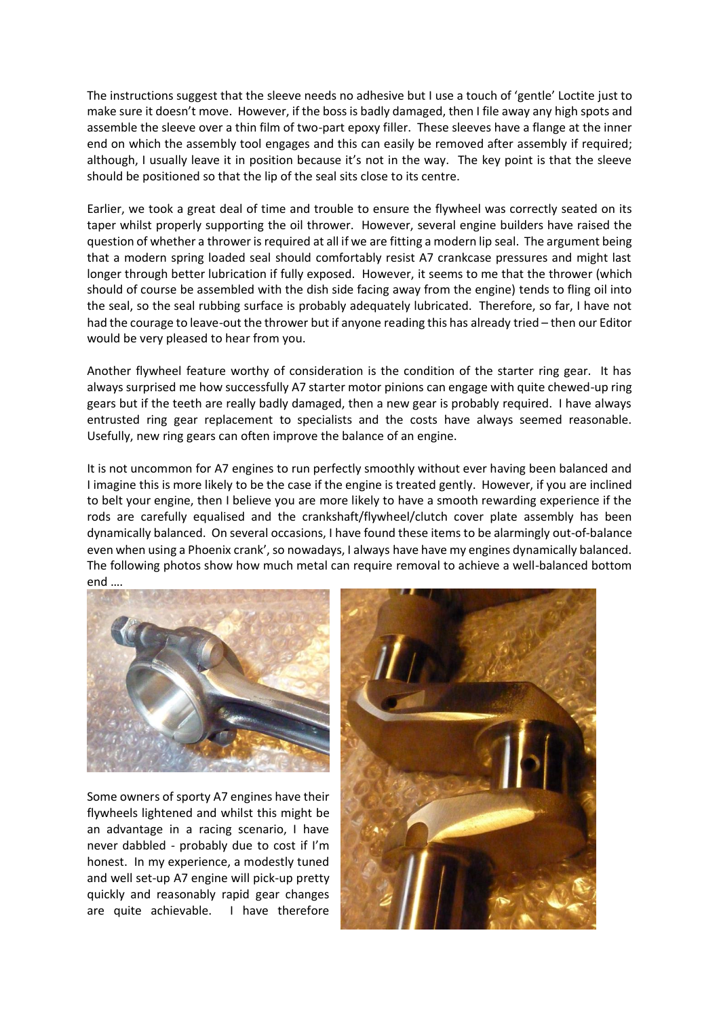The instructions suggest that the sleeve needs no adhesive but I use a touch of 'gentle' Loctite just to make sure it doesn't move. However, if the boss is badly damaged, then I file away any high spots and assemble the sleeve over a thin film of two-part epoxy filler. These sleeves have a flange at the inner end on which the assembly tool engages and this can easily be removed after assembly if required; although, I usually leave it in position because it's not in the way. The key point is that the sleeve should be positioned so that the lip of the seal sits close to its centre.

Earlier, we took a great deal of time and trouble to ensure the flywheel was correctly seated on its taper whilst properly supporting the oil thrower. However, several engine builders have raised the question of whether a thrower is required at all if we are fitting a modern lip seal. The argument being that a modern spring loaded seal should comfortably resist A7 crankcase pressures and might last longer through better lubrication if fully exposed. However, it seems to me that the thrower (which should of course be assembled with the dish side facing away from the engine) tends to fling oil into the seal, so the seal rubbing surface is probably adequately lubricated. Therefore, so far, I have not had the courage to leave-out the thrower but if anyone reading this has already tried – then our Editor would be very pleased to hear from you.

Another flywheel feature worthy of consideration is the condition of the starter ring gear. It has always surprised me how successfully A7 starter motor pinions can engage with quite chewed-up ring gears but if the teeth are really badly damaged, then a new gear is probably required. I have always entrusted ring gear replacement to specialists and the costs have always seemed reasonable. Usefully, new ring gears can often improve the balance of an engine.

It is not uncommon for A7 engines to run perfectly smoothly without ever having been balanced and I imagine this is more likely to be the case if the engine is treated gently. However, if you are inclined to belt your engine, then I believe you are more likely to have a smooth rewarding experience if the rods are carefully equalised and the crankshaft/flywheel/clutch cover plate assembly has been dynamically balanced. On several occasions, I have found these items to be alarmingly out-of-balance even when using a Phoenix crank', so nowadays, I always have have my engines dynamically balanced. The following photos show how much metal can require removal to achieve a well-balanced bottom end ….



Some owners of sporty A7 engines have their flywheels lightened and whilst this might be an advantage in a racing scenario, I have never dabbled - probably due to cost if I'm honest. In my experience, a modestly tuned and well set-up A7 engine will pick-up pretty quickly and reasonably rapid gear changes are quite achievable. I have therefore